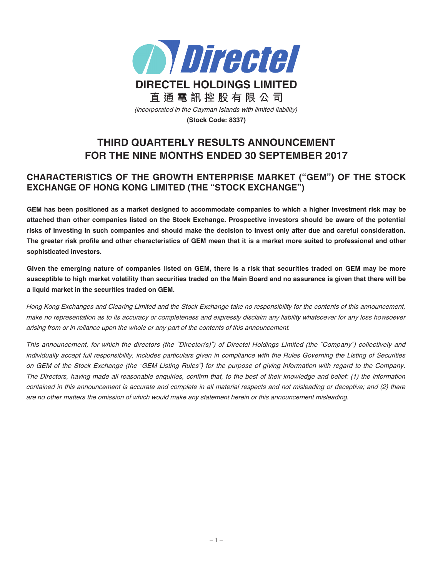

# **THIRD QUARTERLY RESULTS ANNOUNCEMENT FOR THE NINE MONTHS ENDED 30 SEPTEMBER 2017**

# **CHARACTERISTICS OF THE GROWTH ENTERPRISE MARKET ("GEM") OF THE STOCK EXCHANGE OF HONG KONG LIMITED (THE "STOCK EXCHANGE")**

GEM has been positioned as a market designed to accommodate companies to which a higher investment risk may be attached than other companies listed on the Stock Exchange. Prospective investors should be aware of the potential risks of investing in such companies and should make the decision to invest only after due and careful consideration. The greater risk profile and other characteristics of GEM mean that it is a market more suited to professional and other **sophisticated investors.**

Given the emerging nature of companies listed on GEM, there is a risk that securities traded on GEM may be more susceptible to high market volatility than securities traded on the Main Board and no assurance is given that there will be **a liquid market in the securities traded on GEM.**

Hong Kong Exchanges and Clearing Limited and the Stock Exchange take no responsibility for the contents of this announcement, make no representation as to its accuracy or completeness and expressly disclaim any liability whatsoever for any loss howsoever arising from or in reliance upon the whole or any part of the contents of this announcement.

This announcement, for which the directors (the "Director(s)") of Directel Holdings Limited (the "Company") collectively and individually accept full responsibility, includes particulars given in compliance with the Rules Governing the Listing of Securities on GEM of the Stock Exchange (the "GEM Listing Rules") for the purpose of giving information with regard to the Company. The Directors, having made all reasonable enquiries, confirm that, to the best of their knowledge and belief: (1) the information contained in this announcement is accurate and complete in all material respects and not misleading or deceptive; and (2) there are no other matters the omission of which would make any statement herein or this announcement misleading.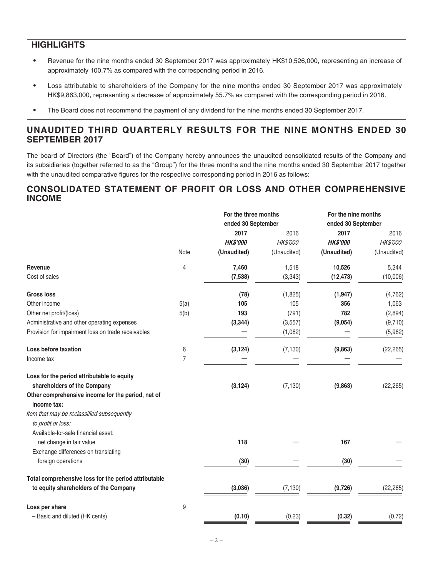# **HIGHLIGHTS**

- ‧ Revenue for the nine months ended 30 September 2017 was approximately HK\$10,526,000, representing an increase of approximately 100.7% as compared with the corresponding period in 2016.
- ‧ Loss attributable to shareholders of the Company for the nine months ended 30 September 2017 was approximately HK\$9,863,000, representing a decrease of approximately 55.7% as compared with the corresponding period in 2016.
- The Board does not recommend the payment of any dividend for the nine months ended 30 September 2017.

# **UNAUDITED THIRD QUARTERLY RESULTS FOR THE NINE MONTHS ENDED 30 SEPTEMBER 2017**

The board of Directors (the "Board") of the Company hereby announces the unaudited consolidated results of the Company and its subsidiaries (together referred to as the "Group") for the three months and the nine months ended 30 September 2017 together with the unaudited comparative figures for the respective corresponding period in 2016 as follows:

# **CONSOLIDATED STATEMENT OF PROFIT OR LOSS AND OTHER COMPREHENSIVE INCOME**

|                | For the three months<br>ended 30 September |             | For the nine months |             |
|----------------|--------------------------------------------|-------------|---------------------|-------------|
|                |                                            |             | ended 30 September  |             |
|                | 2017                                       | 2016        | 2017                | 2016        |
|                | <b>HK\$'000</b>                            | HK\$'000    | <b>HK\$'000</b>     | HK\$'000    |
| Note           | (Unaudited)                                | (Unaudited) | (Unaudited)         | (Unaudited) |
| 4              | 7,460                                      | 1,518       | 10,526              | 5,244       |
|                | (7, 538)                                   | (3, 343)    | (12, 473)           | (10,006)    |
|                | (78)                                       | (1,825)     | (1, 947)            | (4, 762)    |
| 5(a)           | 105                                        | 105         | 356                 | 1,063       |
| 5(b)           | 193                                        | (791)       | 782                 | (2,894)     |
|                | (3, 344)                                   | (3, 557)    | (9,054)             | (9,710)     |
|                |                                            | (1,062)     |                     | (5,962)     |
| 6              | (3, 124)                                   | (7, 130)    | (9,863)             | (22, 265)   |
| $\overline{7}$ |                                            |             |                     |             |
|                |                                            |             |                     |             |
|                |                                            |             |                     | (22, 265)   |
|                |                                            |             |                     |             |
|                |                                            |             |                     |             |
|                |                                            |             |                     |             |
|                |                                            |             |                     |             |
|                | 118                                        |             | 167                 |             |
|                |                                            |             |                     |             |
|                | (30)                                       |             | (30)                |             |
|                |                                            |             |                     |             |
|                | (3,036)                                    | (7, 130)    | (9,726)             | (22, 265)   |
|                |                                            |             |                     |             |
|                | (0.10)                                     | (0.23)      | (0.32)              | (0.72)      |
|                | 9                                          | (3, 124)    | (7, 130)            | (9,863)     |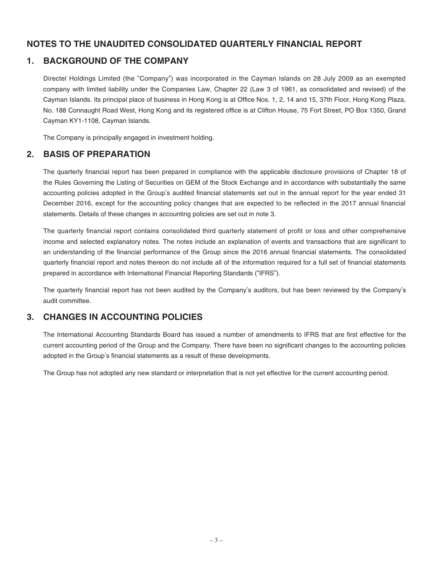# **NOTES TO THE UNAUDITED CONSOLIDATED QUARTERLY FINANCIAL REPORT**

# **1. BACKGROUND OF THE COMPANY**

Directel Holdings Limited (the "Company") was incorporated in the Cayman Islands on 28 July 2009 as an exempted company with limited liability under the Companies Law, Chapter 22 (Law 3 of 1961, as consolidated and revised) of the Cayman Islands. Its principal place of business in Hong Kong is at Office Nos. 1, 2, 14 and 15, 37th Floor, Hong Kong Plaza, No. 188 Connaught Road West, Hong Kong and its registered office is at Clifton House, 75 Fort Street, PO Box 1350, Grand Cayman KY1-1108, Cayman Islands.

The Company is principally engaged in investment holding.

# **2. BASIS OF PREPARATION**

The quarterly financial report has been prepared in compliance with the applicable disclosure provisions of Chapter 18 of the Rules Governing the Listing of Securities on GEM of the Stock Exchange and in accordance with substantially the same accounting policies adopted in the Group's audited financial statements set out in the annual report for the year ended 31 December 2016, except for the accounting policy changes that are expected to be reflected in the 2017 annual financial statements. Details of these changes in accounting policies are set out in note 3.

The quarterly financial report contains consolidated third quarterly statement of profit or loss and other comprehensive income and selected explanatory notes. The notes include an explanation of events and transactions that are signicant to an understanding of the financial performance of the Group since the 2016 annual financial statements. The consolidated quarterly financial report and notes thereon do not include all of the information required for a full set of financial statements prepared in accordance with International Financial Reporting Standards ("IFRS").

The quarterly financial report has not been audited by the Company's auditors, but has been reviewed by the Company's audit committee.

# **3. CHANGES IN ACCOUNTING POLICIES**

The International Accounting Standards Board has issued a number of amendments to IFRS that are first effective for the current accounting period of the Group and the Company. There have been no significant changes to the accounting policies adopted in the Group's financial statements as a result of these developments.

The Group has not adopted any new standard or interpretation that is not yet effective for the current accounting period.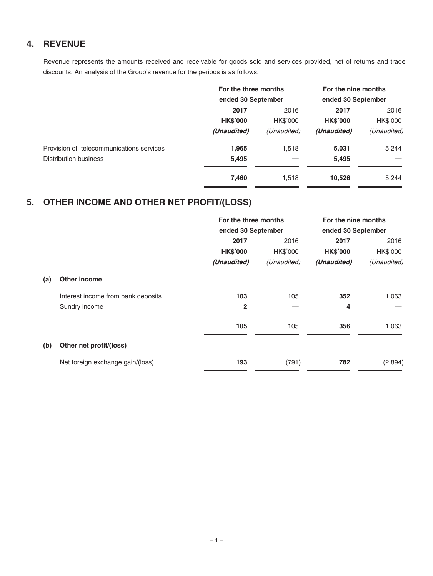# **4. REVENUE**

Revenue represents the amounts received and receivable for goods sold and services provided, net of returns and trade discounts. An analysis of the Group's revenue for the periods is as follows:

|                                          | For the three months<br>ended 30 September |             | For the nine months<br>ended 30 September |             |
|------------------------------------------|--------------------------------------------|-------------|-------------------------------------------|-------------|
|                                          |                                            |             |                                           |             |
|                                          | 2017<br>2016                               |             | 2017                                      | 2016        |
|                                          | <b>HK\$'000</b>                            | HK\$'000    | <b>HK\$'000</b>                           | HK\$'000    |
|                                          | (Unaudited)                                | (Unaudited) | (Unaudited)                               | (Unaudited) |
| Provision of telecommunications services | 1,965                                      | 1,518       | 5,031                                     | 5,244       |
| Distribution business                    | 5,495                                      |             | 5,495                                     |             |
|                                          | 7,460                                      | 1,518       | 10,526                                    | 5,244       |

# **5. OTHER INCOME AND OTHER NET PROFIT/(LOSS)**

|     |                                    | For the three months |             | For the nine months |             |
|-----|------------------------------------|----------------------|-------------|---------------------|-------------|
|     |                                    | ended 30 September   |             | ended 30 September  |             |
|     |                                    | 2017                 | 2016        | 2017                | 2016        |
|     |                                    | <b>HK\$'000</b>      | HK\$'000    | <b>HK\$'000</b>     | HK\$'000    |
|     |                                    | (Unaudited)          | (Unaudited) | (Unaudited)         | (Unaudited) |
| (a) | <b>Other income</b>                |                      |             |                     |             |
|     | Interest income from bank deposits | 103                  | 105         | 352                 | 1,063       |
|     | Sundry income                      | $\overline{2}$       |             | 4                   |             |
|     |                                    | 105                  | 105         | 356                 | 1,063       |
| (b) | Other net profit/(loss)            |                      |             |                     |             |
|     | Net foreign exchange gain/(loss)   | 193                  | (791)       | 782                 | (2,894)     |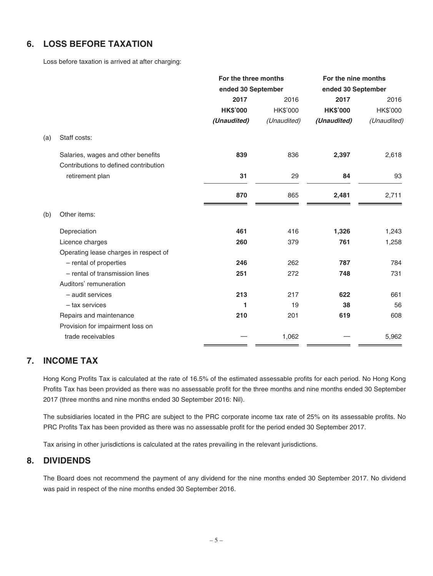# **6. LOSS BEFORE TAXATION**

Loss before taxation is arrived at after charging:

|     |                                       | For the three months |                    | For the nine months |                    |
|-----|---------------------------------------|----------------------|--------------------|---------------------|--------------------|
|     |                                       |                      | ended 30 September |                     | ended 30 September |
|     |                                       | 2017                 | 2016               | 2017                | 2016               |
|     |                                       | <b>HK\$'000</b>      | HK\$'000           | <b>HK\$'000</b>     | HK\$'000           |
|     |                                       | (Unaudited)          | (Unaudited)        | (Unaudited)         | (Unaudited)        |
| (a) | Staff costs:                          |                      |                    |                     |                    |
|     | Salaries, wages and other benefits    | 839                  | 836                | 2,397               | 2,618              |
|     | Contributions to defined contribution |                      |                    |                     |                    |
|     | retirement plan                       | 31                   | 29                 | 84                  | 93                 |
|     |                                       | 870                  | 865                | 2,481               | 2,711              |
| (b) | Other items:                          |                      |                    |                     |                    |
|     | Depreciation                          | 461                  | 416                | 1,326               | 1,243              |
|     | Licence charges                       | 260                  | 379                | 761                 | 1,258              |
|     | Operating lease charges in respect of |                      |                    |                     |                    |
|     | - rental of properties                | 246                  | 262                | 787                 | 784                |
|     | - rental of transmission lines        | 251                  | 272                | 748                 | 731                |
|     | Auditors' remuneration                |                      |                    |                     |                    |
|     | - audit services                      | 213                  | 217                | 622                 | 661                |
|     | - tax services                        | 1                    | 19                 | 38                  | 56                 |
|     | Repairs and maintenance               | 210                  | 201                | 619                 | 608                |
|     | Provision for impairment loss on      |                      |                    |                     |                    |
|     | trade receivables                     |                      | 1,062              |                     | 5,962              |

# **7. INCOME TAX**

Hong Kong Profits Tax is calculated at the rate of 16.5% of the estimated assessable profits for each period. No Hong Kong Profits Tax has been provided as there was no assessable profit for the three months and nine months ended 30 September 2017 (three months and nine months ended 30 September 2016: Nil).

The subsidiaries located in the PRC are subject to the PRC corporate income tax rate of 25% on its assessable profits. No PRC Profits Tax has been provided as there was no assessable profit for the period ended 30 September 2017.

Tax arising in other jurisdictions is calculated at the rates prevailing in the relevant jurisdictions.

### **8. DIVIDENDS**

The Board does not recommend the payment of any dividend for the nine months ended 30 September 2017. No dividend was paid in respect of the nine months ended 30 September 2016.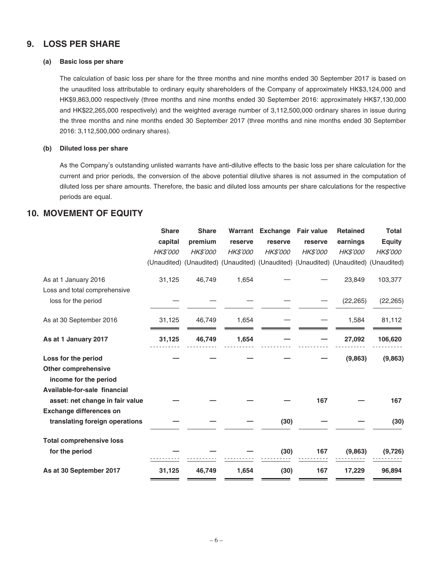### **9. LOSS PER SHARE**

#### **(a) Basic loss per share**

The calculation of basic loss per share for the three months and nine months ended 30 September 2017 is based on the unaudited loss attributable to ordinary equity shareholders of the Company of approximately HK\$3,124,000 and HK\$9,863,000 respectively (three months and nine months ended 30 September 2016: approximately HK\$7,130,000 and HK\$22,265,000 respectively) and the weighted average number of 3,112,500,000 ordinary shares in issue during the three months and nine months ended 30 September 2017 (three months and nine months ended 30 September 2016: 3,112,500,000 ordinary shares).

#### **(b) Diluted loss per share**

As the Company's outstanding unlisted warrants have anti-dilutive effects to the basic loss per share calculation for the current and prior periods, the conversion of the above potential dilutive shares is not assumed in the computation of diluted loss per share amounts. Therefore, the basic and diluted loss amounts per share calculations for the respective periods are equal.

### **10. MOVEMENT OF EQUITY**

|                                                     | <b>Share</b> | <b>Share</b>    |                 | Warrant Exchange                                                                    | <b>Fair value</b> | <b>Retained</b> | <b>Total</b>  |
|-----------------------------------------------------|--------------|-----------------|-----------------|-------------------------------------------------------------------------------------|-------------------|-----------------|---------------|
|                                                     | capital      | premium         | reserve         | reserve                                                                             | reserve           | earnings        | <b>Equity</b> |
|                                                     | HK\$'000     | <b>HK\$'000</b> | <b>HK\$'000</b> | HK\$'000                                                                            | HK\$'000          | HK\$'000        | HK\$'000      |
|                                                     |              |                 |                 | (Unaudited) (Unaudited) (Unaudited) (Unaudited) (Unaudited) (Unaudited) (Unaudited) |                   |                 |               |
| As at 1 January 2016                                | 31,125       | 46,749          | 1,654           |                                                                                     |                   | 23,849          | 103,377       |
| Loss and total comprehensive                        |              |                 |                 |                                                                                     |                   |                 |               |
| loss for the period                                 |              |                 |                 |                                                                                     |                   | (22, 265)       | (22, 265)     |
| As at 30 September 2016                             | 31,125       | 46,749          | 1,654           |                                                                                     |                   | 1,584           | 81,112        |
| As at 1 January 2017                                | 31,125       | 46,749          | 1,654           |                                                                                     |                   | 27,092          | 106,620       |
| Loss for the period                                 |              |                 |                 |                                                                                     |                   | (9,863)         | (9,863)       |
| <b>Other comprehensive</b><br>income for the period |              |                 |                 |                                                                                     |                   |                 |               |
| Available-for-sale financial                        |              |                 |                 |                                                                                     |                   |                 |               |
| asset: net change in fair value                     |              |                 |                 |                                                                                     | 167               |                 | 167           |
| <b>Exchange differences on</b>                      |              |                 |                 |                                                                                     |                   |                 |               |
| translating foreign operations                      |              |                 |                 | (30)                                                                                |                   |                 | (30)          |
| <b>Total comprehensive loss</b>                     |              |                 |                 |                                                                                     |                   |                 |               |
| for the period                                      |              |                 |                 | (30)                                                                                | 167               | (9,863)         | (9, 726)      |
| As at 30 September 2017                             | 31,125       | 46,749          | 1,654           | (30)                                                                                | 167               | 17,229          | 96,894        |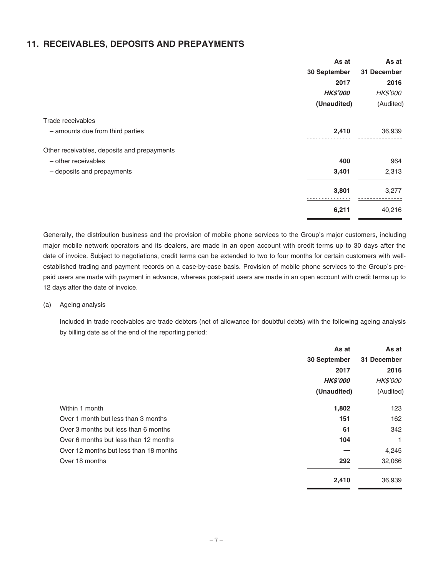### **11. RECEIVABLES, DEPOSITS AND PREPAYMENTS**

|                                             | As at           | As at           |
|---------------------------------------------|-----------------|-----------------|
|                                             | 30 September    | 31 December     |
|                                             | 2017            | 2016            |
|                                             | <b>HK\$'000</b> | <b>HK\$'000</b> |
|                                             | (Unaudited)     | (Audited)       |
| Trade receivables                           |                 |                 |
| - amounts due from third parties            | 2,410           | 36,939          |
| Other receivables, deposits and prepayments |                 |                 |
| - other receivables                         | 400             | 964             |
| - deposits and prepayments                  | 3,401           | 2,313           |
|                                             | 3,801           | 3,277           |
|                                             | 6,211           | 40,216          |

Generally, the distribution business and the provision of mobile phone services to the Group's major customers, including major mobile network operators and its dealers, are made in an open account with credit terms up to 30 days after the date of invoice. Subject to negotiations, credit terms can be extended to two to four months for certain customers with wellestablished trading and payment records on a case-by-case basis. Provision of mobile phone services to the Group's prepaid users are made with payment in advance, whereas post-paid users are made in an open account with credit terms up to 12 days after the date of invoice.

#### (a) Ageing analysis

Included in trade receivables are trade debtors (net of allowance for doubtful debts) with the following ageing analysis by billing date as of the end of the reporting period:

|                                        | As at           | As at           |
|----------------------------------------|-----------------|-----------------|
|                                        | 30 September    | 31 December     |
|                                        | 2017            | 2016            |
|                                        | <b>HK\$'000</b> | <b>HK\$'000</b> |
|                                        | (Unaudited)     | (Audited)       |
| Within 1 month                         | 1,802           | 123             |
| Over 1 month but less than 3 months    | 151             | 162             |
| Over 3 months but less than 6 months   | 61              | 342             |
| Over 6 months but less than 12 months  | 104             | 1               |
| Over 12 months but less than 18 months |                 | 4,245           |
| Over 18 months                         | 292             | 32,066          |
|                                        | 2,410           | 36,939          |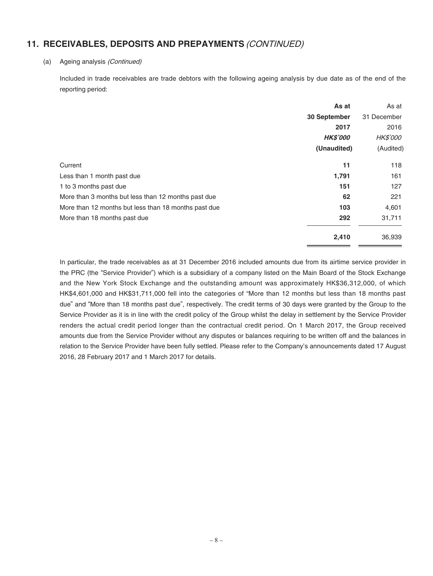# **11. RECEIVABLES, DEPOSITS AND PREPAYMENTS** (CONTINUED)

#### (a) Ageing analysis (Continued)

Included in trade receivables are trade debtors with the following ageing analysis by due date as of the end of the reporting period:

|                                                      | As at           | As at           |
|------------------------------------------------------|-----------------|-----------------|
|                                                      | 30 September    | 31 December     |
|                                                      | 2017            | 2016            |
|                                                      | <b>HK\$'000</b> | <b>HK\$'000</b> |
|                                                      | (Unaudited)     | (Audited)       |
| Current                                              | 11              | 118             |
| Less than 1 month past due                           | 1,791           | 161             |
| 1 to 3 months past due                               | 151             | 127             |
| More than 3 months but less than 12 months past due  | 62              | 221             |
| More than 12 months but less than 18 months past due | 103             | 4,601           |
| More than 18 months past due                         | 292             | 31,711          |
|                                                      | 2,410           | 36,939          |

In particular, the trade receivables as at 31 December 2016 included amounts due from its airtime service provider in the PRC (the "Service Provider") which is a subsidiary of a company listed on the Main Board of the Stock Exchange and the New York Stock Exchange and the outstanding amount was approximately HK\$36,312,000, of which HK\$4,601,000 and HK\$31,711,000 fell into the categories of "More than 12 months but less than 18 months past due" and "More than 18 months past due", respectively. The credit terms of 30 days were granted by the Group to the Service Provider as it is in line with the credit policy of the Group whilst the delay in settlement by the Service Provider renders the actual credit period longer than the contractual credit period. On 1 March 2017, the Group received amounts due from the Service Provider without any disputes or balances requiring to be written off and the balances in relation to the Service Provider have been fully settled. Please refer to the Company's announcements dated 17 August 2016, 28 February 2017 and 1 March 2017 for details.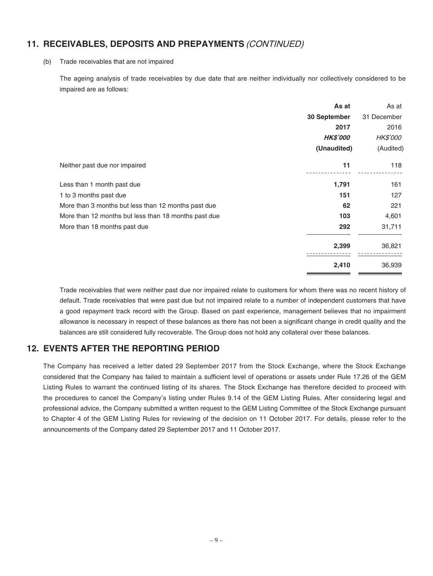# **11. RECEIVABLES, DEPOSITS AND PREPAYMENTS** (CONTINUED)

#### (b) Trade receivables that are not impaired

The ageing analysis of trade receivables by due date that are neither individually nor collectively considered to be impaired are as follows:

|                                                      | As at           | As at           |
|------------------------------------------------------|-----------------|-----------------|
| 30 September                                         |                 | 31 December     |
|                                                      | 2017            | 2016            |
|                                                      | <b>HK\$'000</b> | <b>HK\$'000</b> |
|                                                      | (Unaudited)     | (Audited)       |
| Neither past due nor impaired                        | 11              | 118             |
| Less than 1 month past due                           | 1,791           | 161             |
| 1 to 3 months past due                               | 151             | 127             |
| More than 3 months but less than 12 months past due  | 62              | 221             |
| More than 12 months but less than 18 months past due | 103             | 4,601           |
| More than 18 months past due                         | 292             | 31,711          |
|                                                      | 2,399           | 36,821          |
|                                                      | 2,410           | 36,939          |

Trade receivables that were neither past due nor impaired relate to customers for whom there was no recent history of default. Trade receivables that were past due but not impaired relate to a number of independent customers that have a good repayment track record with the Group. Based on past experience, management believes that no impairment allowance is necessary in respect of these balances as there has not been a significant change in credit quality and the balances are still considered fully recoverable. The Group does not hold any collateral over these balances.

# **12. EVENTS AFTER THE REPORTING PERIOD**

The Company has received a letter dated 29 September 2017 from the Stock Exchange, where the Stock Exchange considered that the Company has failed to maintain a sufficient level of operations or assets under Rule 17.26 of the GEM Listing Rules to warrant the continued listing of its shares. The Stock Exchange has therefore decided to proceed with the procedures to cancel the Company's listing under Rules 9.14 of the GEM Listing Rules. After considering legal and professional advice, the Company submitted a written request to the GEM Listing Committee of the Stock Exchange pursuant to Chapter 4 of the GEM Listing Rules for reviewing of the decision on 11 October 2017. For details, please refer to the announcements of the Company dated 29 September 2017 and 11 October 2017.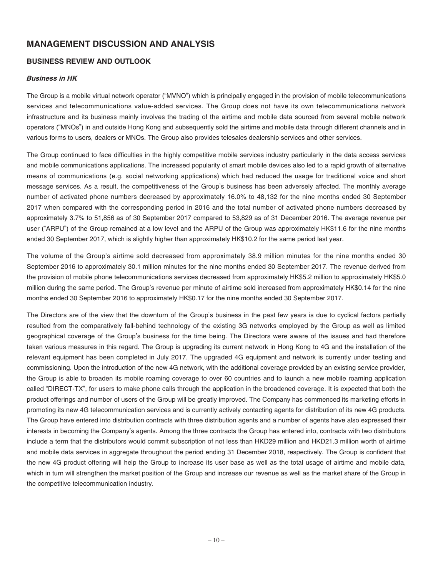# **MANAGEMENT DISCUSSION AND ANALYSIS**

### **BUSINESS REVIEW AND OUTLOOK**

#### **Business in HK**

The Group is a mobile virtual network operator ("MVNO") which is principally engaged in the provision of mobile telecommunications services and telecommunications value-added services. The Group does not have its own telecommunications network infrastructure and its business mainly involves the trading of the airtime and mobile data sourced from several mobile network operators ("MNOs") in and outside Hong Kong and subsequently sold the airtime and mobile data through different channels and in various forms to users, dealers or MNOs. The Group also provides telesales dealership services and other services.

The Group continued to face difficulties in the highly competitive mobile services industry particularly in the data access services and mobile communications applications. The increased popularity of smart mobile devices also led to a rapid growth of alternative means of communications (e.g. social networking applications) which had reduced the usage for traditional voice and short message services. As a result, the competitiveness of the Group's business has been adversely affected. The monthly average number of activated phone numbers decreased by approximately 16.0% to 48,132 for the nine months ended 30 September 2017 when compared with the corresponding period in 2016 and the total number of activated phone numbers decreased by approximately 3.7% to 51,856 as of 30 September 2017 compared to 53,829 as of 31 December 2016. The average revenue per user ("ARPU") of the Group remained at a low level and the ARPU of the Group was approximately HK\$11.6 for the nine months ended 30 September 2017, which is slightly higher than approximately HK\$10.2 for the same period last year.

The volume of the Group's airtime sold decreased from approximately 38.9 million minutes for the nine months ended 30 September 2016 to approximately 30.1 million minutes for the nine months ended 30 September 2017. The revenue derived from the provision of mobile phone telecommunications services decreased from approximately HK\$5.2 million to approximately HK\$5.0 million during the same period. The Group's revenue per minute of airtime sold increased from approximately HK\$0.14 for the nine months ended 30 September 2016 to approximately HK\$0.17 for the nine months ended 30 September 2017.

The Directors are of the view that the downturn of the Group's business in the past few years is due to cyclical factors partially resulted from the comparatively fall-behind technology of the existing 3G networks employed by the Group as well as limited geographical coverage of the Group's business for the time being. The Directors were aware of the issues and had therefore taken various measures in this regard. The Group is upgrading its current network in Hong Kong to 4G and the installation of the relevant equipment has been completed in July 2017. The upgraded 4G equipment and network is currently under testing and commissioning. Upon the introduction of the new 4G network, with the additional coverage provided by an existing service provider, the Group is able to broaden its mobile roaming coverage to over 60 countries and to launch a new mobile roaming application called "DIRECT-TX", for users to make phone calls through the application in the broadened coverage. It is expected that both the product offerings and number of users of the Group will be greatly improved. The Company has commenced its marketing efforts in promoting its new 4G telecommunication services and is currently actively contacting agents for distribution of its new 4G products. The Group have entered into distribution contracts with three distribution agents and a number of agents have also expressed their interests in becoming the Company's agents. Among the three contracts the Group has entered into, contracts with two distributors include a term that the distributors would commit subscription of not less than HKD29 million and HKD21.3 million worth of airtime and mobile data services in aggregate throughout the period ending 31 December 2018, respectively. The Group is confident that the new 4G product offering will help the Group to increase its user base as well as the total usage of airtime and mobile data, which in turn will strengthen the market position of the Group and increase our revenue as well as the market share of the Group in the competitive telecommunication industry.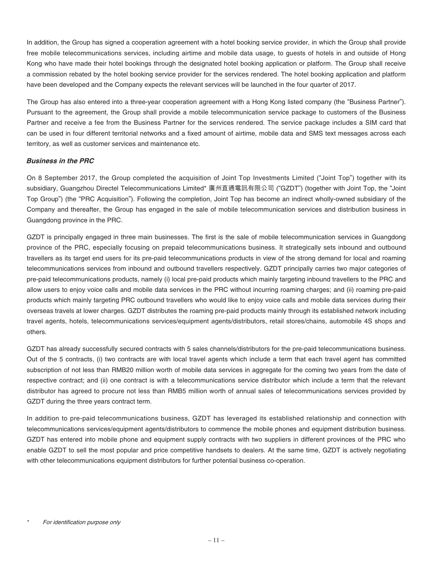In addition, the Group has signed a cooperation agreement with a hotel booking service provider, in which the Group shall provide free mobile telecommunications services, including airtime and mobile data usage, to guests of hotels in and outside of Hong Kong who have made their hotel bookings through the designated hotel booking application or platform. The Group shall receive a commission rebated by the hotel booking service provider for the services rendered. The hotel booking application and platform have been developed and the Company expects the relevant services will be launched in the four quarter of 2017.

The Group has also entered into a three-year cooperation agreement with a Hong Kong listed company (the "Business Partner"). Pursuant to the agreement, the Group shall provide a mobile telecommunication service package to customers of the Business Partner and receive a fee from the Business Partner for the services rendered. The service package includes a SIM card that can be used in four different territorial networks and a fixed amount of airtime, mobile data and SMS text messages across each territory, as well as customer services and maintenance etc.

### **Business in the PRC**

On 8 September 2017, the Group completed the acquisition of Joint Top Investments Limited ("Joint Top") together with its subsidiary, Guangzhou Directel Telecommunications Limited\* 廣州直通電訊有限公司 ("GZDT") (together with Joint Top, the "Joint Top Group") (the "PRC Acquisition"). Following the completion, Joint Top has become an indirect wholly-owned subsidiary of the Company and thereafter, the Group has engaged in the sale of mobile telecommunication services and distribution business in Guangdong province in the PRC.

GZDT is principally engaged in three main businesses. The first is the sale of mobile telecommunication services in Guangdong province of the PRC, especially focusing on prepaid telecommunications business. It strategically sets inbound and outbound travellers as its target end users for its pre-paid telecommunications products in view of the strong demand for local and roaming telecommunications services from inbound and outbound travellers respectively. GZDT principally carries two major categories of pre-paid telecommunications products, namely (i) local pre-paid products which mainly targeting inbound travellers to the PRC and allow users to enjoy voice calls and mobile data services in the PRC without incurring roaming charges; and (ii) roaming pre-paid products which mainly targeting PRC outbound travellers who would like to enjoy voice calls and mobile data services during their overseas travels at lower charges. GZDT distributes the roaming pre-paid products mainly through its established network including travel agents, hotels, telecommunications services/equipment agents/distributors, retail stores/chains, automobile 4S shops and others.

GZDT has already successfully secured contracts with 5 sales channels/distributors for the pre-paid telecommunications business. Out of the 5 contracts, (i) two contracts are with local travel agents which include a term that each travel agent has committed subscription of not less than RMB20 million worth of mobile data services in aggregate for the coming two years from the date of respective contract; and (ii) one contract is with a telecommunications service distributor which include a term that the relevant distributor has agreed to procure not less than RMB5 million worth of annual sales of telecommunications services provided by GZDT during the three years contract term.

In addition to pre-paid telecommunications business, GZDT has leveraged its established relationship and connection with telecommunications services/equipment agents/distributors to commence the mobile phones and equipment distribution business. GZDT has entered into mobile phone and equipment supply contracts with two suppliers in different provinces of the PRC who enable GZDT to sell the most popular and price competitive handsets to dealers. At the same time, GZDT is actively negotiating with other telecommunications equipment distributors for further potential business co-operation.

<sup>\*</sup>For identification purpose only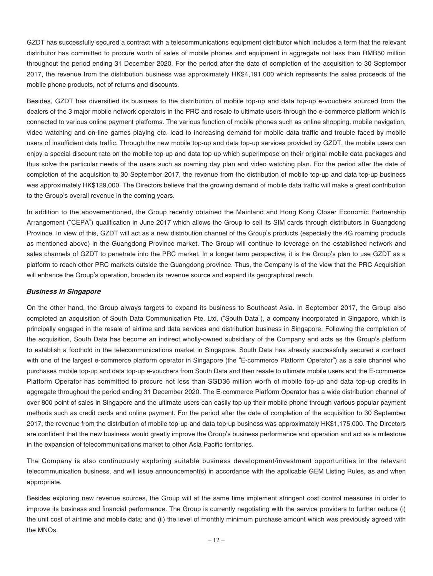GZDT has successfully secured a contract with a telecommunications equipment distributor which includes a term that the relevant distributor has committed to procure worth of sales of mobile phones and equipment in aggregate not less than RMB50 million throughout the period ending 31 December 2020. For the period after the date of completion of the acquisition to 30 September 2017, the revenue from the distribution business was approximately HK\$4,191,000 which represents the sales proceeds of the mobile phone products, net of returns and discounts.

Besides, GZDT has diversified its business to the distribution of mobile top-up and data top-up e-vouchers sourced from the dealers of the 3 major mobile network operators in the PRC and resale to ultimate users through the e-commerce platform which is connected to various online payment platforms. The various function of mobile phones such as online shopping, mobile navigation, video watching and on-line games playing etc. lead to increasing demand for mobile data traffic and trouble faced by mobile users of insufficient data traffic. Through the new mobile top-up and data top-up services provided by GZDT, the mobile users can enjoy a special discount rate on the mobile top-up and data top up which superimpose on their original mobile data packages and thus solve the particular needs of the users such as roaming day plan and video watching plan. For the period after the date of completion of the acquisition to 30 September 2017, the revenue from the distribution of mobile top-up and data top-up business was approximately HK\$129,000. The Directors believe that the growing demand of mobile data traffic will make a great contribution to the Group's overall revenue in the coming years.

In addition to the abovementioned, the Group recently obtained the Mainland and Hong Kong Closer Economic Partnership Arrangement ("CEPA") qualification in June 2017 which allows the Group to sell its SIM cards through distributors in Guangdong Province. In view of this, GZDT will act as a new distribution channel of the Group's products (especially the 4G roaming products as mentioned above) in the Guangdong Province market. The Group will continue to leverage on the established network and sales channels of GZDT to penetrate into the PRC market. In a longer term perspective, it is the Group's plan to use GZDT as a platform to reach other PRC markets outside the Guangdong province. Thus, the Company is of the view that the PRC Acquisition will enhance the Group's operation, broaden its revenue source and expand its geographical reach.

#### **Business in Singapore**

On the other hand, the Group always targets to expand its business to Southeast Asia. In September 2017, the Group also completed an acquisition of South Data Communication Pte. Ltd. ("South Data"), a company incorporated in Singapore, which is principally engaged in the resale of airtime and data services and distribution business in Singapore. Following the completion of the acquisition, South Data has become an indirect wholly-owned subsidiary of the Company and acts as the Group's platform to establish a foothold in the telecommunications market in Singapore. South Data has already successfully secured a contract with one of the largest e-commerce platform operator in Singapore (the "E-commerce Platform Operator") as a sale channel who purchases mobile top-up and data top-up e-vouchers from South Data and then resale to ultimate mobile users and the E-commerce Platform Operator has committed to procure not less than SGD36 million worth of mobile top-up and data top-up credits in aggregate throughout the period ending 31 December 2020. The E-commerce Platform Operator has a wide distribution channel of over 800 point of sales in Singapore and the ultimate users can easily top up their mobile phone through various popular payment methods such as credit cards and online payment. For the period after the date of completion of the acquisition to 30 September 2017, the revenue from the distribution of mobile top-up and data top-up business was approximately HK\$1,175,000. The Directors are confident that the new business would greatly improve the Group's business performance and operation and act as a milestone in the expansion of telecommunications market to other Asia Pacific territories.

The Company is also continuously exploring suitable business development/investment opportunities in the relevant telecommunication business, and will issue announcement(s) in accordance with the applicable GEM Listing Rules, as and when appropriate.

Besides exploring new revenue sources, the Group will at the same time implement stringent cost control measures in order to improve its business and financial performance. The Group is currently negotiating with the service providers to further reduce (i) the unit cost of airtime and mobile data; and (ii) the level of monthly minimum purchase amount which was previously agreed with the MNOs.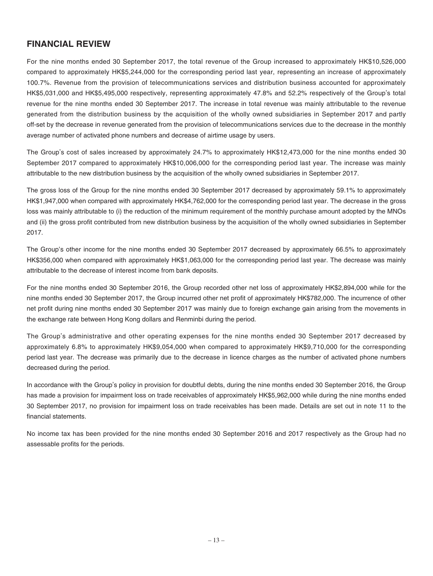# **FINANCIAL REVIEW**

For the nine months ended 30 September 2017, the total revenue of the Group increased to approximately HK\$10,526,000 compared to approximately HK\$5,244,000 for the corresponding period last year, representing an increase of approximately 100.7%. Revenue from the provision of telecommunications services and distribution business accounted for approximately HK\$5,031,000 and HK\$5,495,000 respectively, representing approximately 47.8% and 52.2% respectively of the Group's total revenue for the nine months ended 30 September 2017. The increase in total revenue was mainly attributable to the revenue generated from the distribution business by the acquisition of the wholly owned subsidiaries in September 2017 and partly off-set by the decrease in revenue generated from the provision of telecommunications services due to the decrease in the monthly average number of activated phone numbers and decrease of airtime usage by users.

The Group's cost of sales increased by approximately 24.7% to approximately HK\$12,473,000 for the nine months ended 30 September 2017 compared to approximately HK\$10,006,000 for the corresponding period last year. The increase was mainly attributable to the new distribution business by the acquisition of the wholly owned subsidiaries in September 2017.

The gross loss of the Group for the nine months ended 30 September 2017 decreased by approximately 59.1% to approximately HK\$1,947,000 when compared with approximately HK\$4,762,000 for the corresponding period last year. The decrease in the gross loss was mainly attributable to (i) the reduction of the minimum requirement of the monthly purchase amount adopted by the MNOs and (ii) the gross profit contributed from new distribution business by the acquisition of the wholly owned subsidiaries in September 2017.

The Group's other income for the nine months ended 30 September 2017 decreased by approximately 66.5% to approximately HK\$356,000 when compared with approximately HK\$1,063,000 for the corresponding period last year. The decrease was mainly attributable to the decrease of interest income from bank deposits.

For the nine months ended 30 September 2016, the Group recorded other net loss of approximately HK\$2,894,000 while for the nine months ended 30 September 2017, the Group incurred other net profit of approximately HK\$782,000. The incurrence of other net profit during nine months ended 30 September 2017 was mainly due to foreign exchange gain arising from the movements in the exchange rate between Hong Kong dollars and Renminbi during the period.

The Group's administrative and other operating expenses for the nine months ended 30 September 2017 decreased by approximately 6.8% to approximately HK\$9,054,000 when compared to approximately HK\$9,710,000 for the corresponding period last year. The decrease was primarily due to the decrease in licence charges as the number of activated phone numbers decreased during the period.

In accordance with the Group's policy in provision for doubtful debts, during the nine months ended 30 September 2016, the Group has made a provision for impairment loss on trade receivables of approximately HK\$5,962,000 while during the nine months ended 30 September 2017, no provision for impairment loss on trade receivables has been made. Details are set out in note 11 to the financial statements.

No income tax has been provided for the nine months ended 30 September 2016 and 2017 respectively as the Group had no assessable profits for the periods.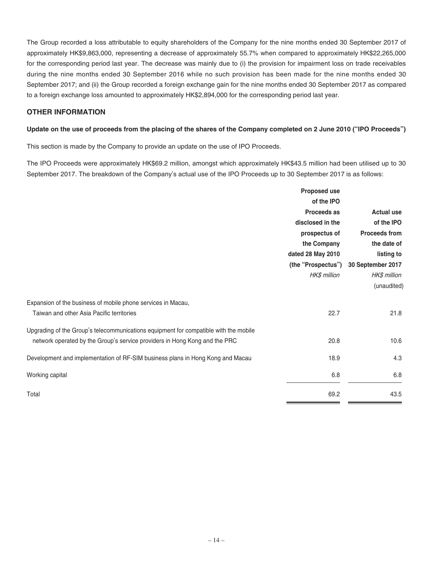The Group recorded a loss attributable to equity shareholders of the Company for the nine months ended 30 September 2017 of approximately HK\$9,863,000, representing a decrease of approximately 55.7% when compared to approximately HK\$22,265,000 for the corresponding period last year. The decrease was mainly due to (i) the provision for impairment loss on trade receivables during the nine months ended 30 September 2016 while no such provision has been made for the nine months ended 30 September 2017; and (ii) the Group recorded a foreign exchange gain for the nine months ended 30 September 2017 as compared to a foreign exchange loss amounted to approximately HK\$2,894,000 for the corresponding period last year.

### **OTHER INFORMATION**

#### Update on the use of proceeds from the placing of the shares of the Company completed on 2 June 2010 ("IPO Proceeds")

This section is made by the Company to provide an update on the use of IPO Proceeds.

The IPO Proceeds were approximately HK\$69.2 million, amongst which approximately HK\$43.5 million had been utilised up to 30 September 2017. The breakdown of the Company's actual use of the IPO Proceeds up to 30 September 2017 is as follows:

|                                                                                      | Proposed use       |                      |  |
|--------------------------------------------------------------------------------------|--------------------|----------------------|--|
|                                                                                      | of the IPO         |                      |  |
|                                                                                      | Proceeds as        | <b>Actual use</b>    |  |
|                                                                                      | disclosed in the   | of the IPO           |  |
|                                                                                      | prospectus of      | <b>Proceeds from</b> |  |
|                                                                                      | the Company        | the date of          |  |
|                                                                                      | dated 28 May 2010  | listing to           |  |
|                                                                                      | (the "Prospectus") | 30 September 2017    |  |
|                                                                                      | HK\$ million       | HK\$ million         |  |
|                                                                                      |                    | (unaudited)          |  |
| Expansion of the business of mobile phone services in Macau,                         |                    |                      |  |
| Taiwan and other Asia Pacific territories                                            | 22.7               | 21.8                 |  |
| Upgrading of the Group's telecommunications equipment for compatible with the mobile |                    |                      |  |
| network operated by the Group's service providers in Hong Kong and the PRC           | 20.8               | 10.6                 |  |
| Development and implementation of RF-SIM business plans in Hong Kong and Macau       | 18.9               | 4.3                  |  |
| Working capital                                                                      | 6.8                | 6.8                  |  |
| Total                                                                                | 69.2               | 43.5                 |  |
|                                                                                      |                    |                      |  |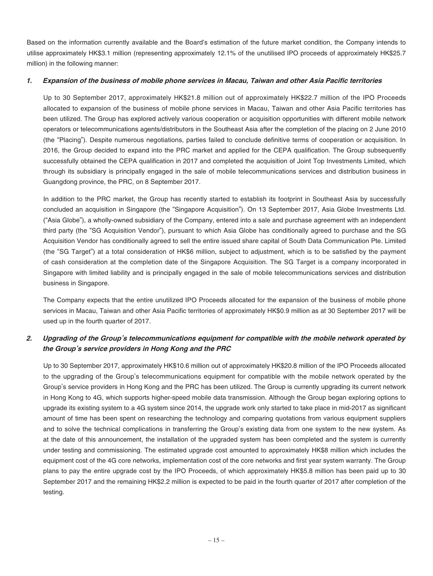Based on the information currently available and the Board's estimation of the future market condition, the Company intends to utilise approximately HK\$3.1 million (representing approximately 12.1% of the unutilised IPO proceeds of approximately HK\$25.7 million) in the following manner:

#### **1. Expansion of the business of mobile phone services in Macau, Taiwan and other Asia Pacific territories**

Up to 30 September 2017, approximately HK\$21.8 million out of approximately HK\$22.7 million of the IPO Proceeds allocated to expansion of the business of mobile phone services in Macau, Taiwan and other Asia Pacific territories has been utilized. The Group has explored actively various cooperation or acquisition opportunities with different mobile network operators or telecommunications agents/distributors in the Southeast Asia after the completion of the placing on 2 June 2010 (the "Placing"). Despite numerous negotiations, parties failed to conclude definitive terms of cooperation or acquisition. In 2016, the Group decided to expand into the PRC market and applied for the CEPA qualification. The Group subsequently successfully obtained the CEPA qualification in 2017 and completed the acquisition of Joint Top Investments Limited, which through its subsidiary is principally engaged in the sale of mobile telecommunications services and distribution business in Guangdong province, the PRC, on 8 September 2017.

In addition to the PRC market, the Group has recently started to establish its footprint in Southeast Asia by successfully concluded an acquisition in Singapore (the "Singapore Acquisition"). On 13 September 2017, Asia Globe Investments Ltd. ("Asia Globe"), a wholly-owned subsidiary of the Company, entered into a sale and purchase agreement with an independent third party (the "SG Acquisition Vendor"), pursuant to which Asia Globe has conditionally agreed to purchase and the SG Acquisition Vendor has conditionally agreed to sell the entire issued share capital of South Data Communication Pte. Limited (the "SG Target") at a total consideration of HK\$6 million, subject to adjustment, which is to be satisfied by the payment of cash consideration at the completion date of the Singapore Acquisition. The SG Target is a company incorporated in Singapore with limited liability and is principally engaged in the sale of mobile telecommunications services and distribution business in Singapore.

The Company expects that the entire unutilized IPO Proceeds allocated for the expansion of the business of mobile phone services in Macau, Taiwan and other Asia Pacific territories of approximately HK\$0.9 million as at 30 September 2017 will be used up in the fourth quarter of 2017.

# **2. Upgrading of the Group's telecommunications equipment for compatible with the mobile network operated by the Group's service providers in Hong Kong and the PRC**

Up to 30 September 2017, approximately HK\$10.6 million out of approximately HK\$20.8 million of the IPO Proceeds allocated to the upgrading of the Group's telecommunications equipment for compatible with the mobile network operated by the Group's service providers in Hong Kong and the PRC has been utilized. The Group is currently upgrading its current network in Hong Kong to 4G, which supports higher-speed mobile data transmission. Although the Group began exploring options to upgrade its existing system to a 4G system since 2014, the upgrade work only started to take place in mid-2017 as significant amount of time has been spent on researching the technology and comparing quotations from various equipment suppliers and to solve the technical complications in transferring the Group's existing data from one system to the new system. As at the date of this announcement, the installation of the upgraded system has been completed and the system is currently under testing and commissioning. The estimated upgrade cost amounted to approximately HK\$8 million which includes the equipment cost of the 4G core networks, implementation cost of the core networks and first year system warranty. The Group plans to pay the entire upgrade cost by the IPO Proceeds, of which approximately HK\$5.8 million has been paid up to 30 September 2017 and the remaining HK\$2.2 million is expected to be paid in the fourth quarter of 2017 after completion of the testing.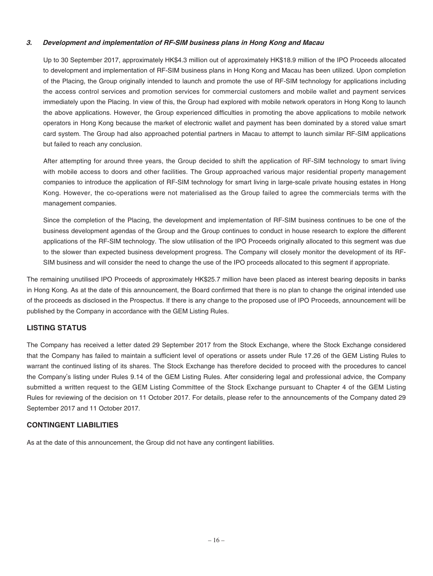#### **3. Development and implementation of RF-SIM business plans in Hong Kong and Macau**

Up to 30 September 2017, approximately HK\$4.3 million out of approximately HK\$18.9 million of the IPO Proceeds allocated to development and implementation of RF-SIM business plans in Hong Kong and Macau has been utilized. Upon completion of the Placing, the Group originally intended to launch and promote the use of RF-SIM technology for applications including the access control services and promotion services for commercial customers and mobile wallet and payment services immediately upon the Placing. In view of this, the Group had explored with mobile network operators in Hong Kong to launch the above applications. However, the Group experienced difficulties in promoting the above applications to mobile network operators in Hong Kong because the market of electronic wallet and payment has been dominated by a stored value smart card system. The Group had also approached potential partners in Macau to attempt to launch similar RF-SIM applications but failed to reach any conclusion.

After attempting for around three years, the Group decided to shift the application of RF-SIM technology to smart living with mobile access to doors and other facilities. The Group approached various major residential property management companies to introduce the application of RF-SIM technology for smart living in large-scale private housing estates in Hong Kong. However, the co-operations were not materialised as the Group failed to agree the commercials terms with the management companies.

Since the completion of the Placing, the development and implementation of RF-SIM business continues to be one of the business development agendas of the Group and the Group continues to conduct in house research to explore the different applications of the RF-SIM technology. The slow utilisation of the IPO Proceeds originally allocated to this segment was due to the slower than expected business development progress. The Company will closely monitor the development of its RF-SIM business and will consider the need to change the use of the IPO proceeds allocated to this segment if appropriate.

The remaining unutilised IPO Proceeds of approximately HK\$25.7 million have been placed as interest bearing deposits in banks in Hong Kong. As at the date of this announcement, the Board confirmed that there is no plan to change the original intended use of the proceeds as disclosed in the Prospectus. If there is any change to the proposed use of IPO Proceeds, announcement will be published by the Company in accordance with the GEM Listing Rules.

### **LISTING STATUS**

The Company has received a letter dated 29 September 2017 from the Stock Exchange, where the Stock Exchange considered that the Company has failed to maintain a sufficient level of operations or assets under Rule 17.26 of the GEM Listing Rules to warrant the continued listing of its shares. The Stock Exchange has therefore decided to proceed with the procedures to cancel the Company's listing under Rules 9.14 of the GEM Listing Rules. After considering legal and professional advice, the Company submitted a written request to the GEM Listing Committee of the Stock Exchange pursuant to Chapter 4 of the GEM Listing Rules for reviewing of the decision on 11 October 2017. For details, please refer to the announcements of the Company dated 29 September 2017 and 11 October 2017.

### **CONTINGENT LIABILITIES**

As at the date of this announcement, the Group did not have any contingent liabilities.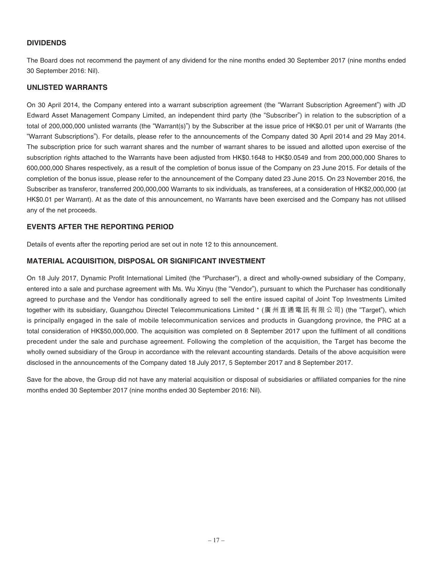### **DIVIDENDS**

The Board does not recommend the payment of any dividend for the nine months ended 30 September 2017 (nine months ended 30 September 2016: Nil).

#### **UNLISTED WARRANTS**

On 30 April 2014, the Company entered into a warrant subscription agreement (the "Warrant Subscription Agreement") with JD Edward Asset Management Company Limited, an independent third party (the "Subscriber") in relation to the subscription of a total of 200,000,000 unlisted warrants (the "Warrant(s)") by the Subscriber at the issue price of HK\$0.01 per unit of Warrants (the "Warrant Subscriptions"). For details, please refer to the announcements of the Company dated 30 April 2014 and 29 May 2014. The subscription price for such warrant shares and the number of warrant shares to be issued and allotted upon exercise of the subscription rights attached to the Warrants have been adjusted from HK\$0.1648 to HK\$0.0549 and from 200,000,000 Shares to 600,000,000 Shares respectively, as a result of the completion of bonus issue of the Company on 23 June 2015. For details of the completion of the bonus issue, please refer to the announcement of the Company dated 23 June 2015. On 23 November 2016, the Subscriber as transferor, transferred 200,000,000 Warrants to six individuals, as transferees, at a consideration of HK\$2,000,000 (at HK\$0.01 per Warrant). At as the date of this announcement, no Warrants have been exercised and the Company has not utilised any of the net proceeds.

### **EVENTS AFTER THE REPORTING PERIOD**

Details of events after the reporting period are set out in note 12 to this announcement.

### **MATERIAL ACQUISITION, DISPOSAL OR SIGNIFICANT INVESTMENT**

On 18 July 2017, Dynamic Profit International Limited (the "Purchaser"), a direct and wholly-owned subsidiary of the Company, entered into a sale and purchase agreement with Ms. Wu Xinyu (the "Vendor"), pursuant to which the Purchaser has conditionally agreed to purchase and the Vendor has conditionally agreed to sell the entire issued capital of Joint Top Investments Limited together with its subsidiary, Guangzhou Directel Telecommunications Limited \* (廣州直通電訊有限公司) (the "Target"), which is principally engaged in the sale of mobile telecommunication services and products in Guangdong province, the PRC at a total consideration of HK\$50,000,000. The acquisition was completed on 8 September 2017 upon the fulfilment of all conditions precedent under the sale and purchase agreement. Following the completion of the acquisition, the Target has become the wholly owned subsidiary of the Group in accordance with the relevant accounting standards. Details of the above acquisition were disclosed in the announcements of the Company dated 18 July 2017, 5 September 2017 and 8 September 2017.

Save for the above, the Group did not have any material acquisition or disposal of subsidiaries or affiliated companies for the nine months ended 30 September 2017 (nine months ended 30 September 2016: Nil).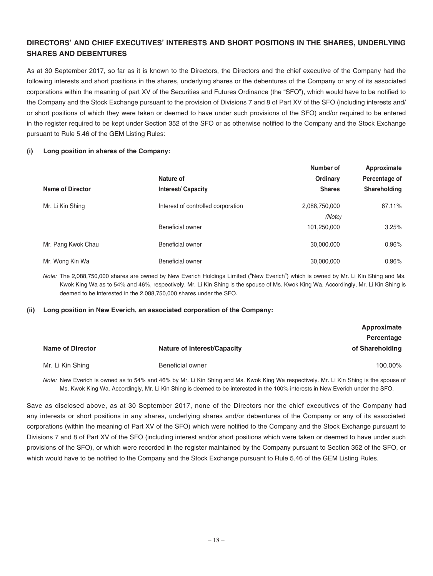### **DIRECTORS' AND CHIEF EXECUTIVES' INTERESTS AND SHORT POSITIONS IN THE SHARES, UNDERLYING SHARES AND DEBENTURES**

As at 30 September 2017, so far as it is known to the Directors, the Directors and the chief executive of the Company had the following interests and short positions in the shares, underlying shares or the debentures of the Company or any of its associated corporations within the meaning of part XV of the Securities and Futures Ordinance (the "SFO"), which would have to be notified to the Company and the Stock Exchange pursuant to the provision of Divisions 7 and 8 of Part XV of the SFO (including interests and/ or short positions of which they were taken or deemed to have under such provisions of the SFO) and/or required to be entered in the register required to be kept under Section 352 of the SFO or as otherwise notified to the Company and the Stock Exchange pursuant to Rule 5.46 of the GEM Listing Rules:

#### **(i) Long position in shares of the Company:**

|                         |                                    | Number of     | Approximate   |
|-------------------------|------------------------------------|---------------|---------------|
|                         | Nature of                          | Ordinary      | Percentage of |
| <b>Name of Director</b> | <b>Interest/Capacity</b>           | <b>Shares</b> | Shareholding  |
| Mr. Li Kin Shing        | Interest of controlled corporation | 2,088,750,000 | 67.11%        |
|                         |                                    | (Note)        |               |
|                         | Beneficial owner                   | 101,250,000   | 3.25%         |
| Mr. Pang Kwok Chau      | Beneficial owner                   | 30,000,000    | 0.96%         |
| Mr. Wong Kin Wa         | Beneficial owner                   | 30,000,000    | 0.96%         |

Note: The 2,088,750,000 shares are owned by New Everich Holdings Limited ("New Everich") which is owned by Mr. Li Kin Shing and Ms. Kwok King Wa as to 54% and 46%, respectively. Mr. Li Kin Shing is the spouse of Ms. Kwok King Wa. Accordingly, Mr. Li Kin Shing is deemed to be interested in the 2,088,750,000 shares under the SFO.

#### **(ii) Long position in New Everich, an associated corporation of the Company:**

|                         |                                    | Approximate     |
|-------------------------|------------------------------------|-----------------|
|                         |                                    | Percentage      |
| <b>Name of Director</b> | <b>Nature of Interest/Capacity</b> | of Shareholding |
| Mr. Li Kin Shing        | <b>Beneficial owner</b>            | 100.00%         |

Note: New Everich is owned as to 54% and 46% by Mr. Li Kin Shing and Ms. Kwok King Wa respectively. Mr. Li Kin Shing is the spouse of Ms. Kwok King Wa. Accordingly, Mr. Li Kin Shing is deemed to be interested in the 100% interests in New Everich under the SFO.

Save as disclosed above, as at 30 September 2017, none of the Directors nor the chief executives of the Company had any interests or short positions in any shares, underlying shares and/or debentures of the Company or any of its associated corporations (within the meaning of Part XV of the SFO) which were notied to the Company and the Stock Exchange pursuant to Divisions 7 and 8 of Part XV of the SFO (including interest and/or short positions which were taken or deemed to have under such provisions of the SFO), or which were recorded in the register maintained by the Company pursuant to Section 352 of the SFO, or which would have to be notified to the Company and the Stock Exchange pursuant to Rule 5.46 of the GEM Listing Rules.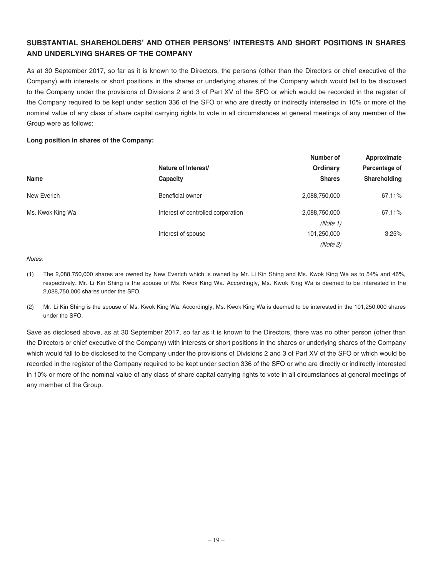### **SUBSTANTIAL SHAREHOLDERS' AND OTHER PERSONS' INTERESTS AND SHORT POSITIONS IN SHARES AND UNDERLYING SHARES OF THE COMPANY**

As at 30 September 2017, so far as it is known to the Directors, the persons (other than the Directors or chief executive of the Company) with interests or short positions in the shares or underlying shares of the Company which would fall to be disclosed to the Company under the provisions of Divisions 2 and 3 of Part XV of the SFO or which would be recorded in the register of the Company required to be kept under section 336 of the SFO or who are directly or indirectly interested in 10% or more of the nominal value of any class of share capital carrying rights to vote in all circumstances at general meetings of any member of the Group were as follows:

#### **Long position in shares of the Company:**

| <b>Name</b>        | Nature of Interest/<br>Capacity | Number of<br><b>Ordinary</b><br><b>Shares</b> | Approximate<br>Percentage of<br>Shareholding |                  |                                    |               |        |
|--------------------|---------------------------------|-----------------------------------------------|----------------------------------------------|------------------|------------------------------------|---------------|--------|
|                    |                                 |                                               |                                              | New Everich      | Beneficial owner                   | 2,088,750,000 | 67.11% |
|                    |                                 |                                               |                                              | Ms. Kwok King Wa | Interest of controlled corporation | 2,088,750,000 | 67.11% |
|                    | (Note 1)                        |                                               |                                              |                  |                                    |               |        |
| Interest of spouse | 101,250,000                     | 3.25%                                         |                                              |                  |                                    |               |        |
|                    | (Note 2)                        |                                               |                                              |                  |                                    |               |        |

#### Notes:

- (1) The 2,088,750,000 shares are owned by New Everich which is owned by Mr. Li Kin Shing and Ms. Kwok King Wa as to 54% and 46%, respectively. Mr. Li Kin Shing is the spouse of Ms. Kwok King Wa. Accordingly, Ms. Kwok King Wa is deemed to be interested in the 2,088,750,000 shares under the SFO.
- (2) Mr. Li Kin Shing is the spouse of Ms. Kwok King Wa. Accordingly, Ms. Kwok King Wa is deemed to be interested in the 101,250,000 shares under the SFO.

Save as disclosed above, as at 30 September 2017, so far as it is known to the Directors, there was no other person (other than the Directors or chief executive of the Company) with interests or short positions in the shares or underlying shares of the Company which would fall to be disclosed to the Company under the provisions of Divisions 2 and 3 of Part XV of the SFO or which would be recorded in the register of the Company required to be kept under section 336 of the SFO or who are directly or indirectly interested in 10% or more of the nominal value of any class of share capital carrying rights to vote in all circumstances at general meetings of any member of the Group.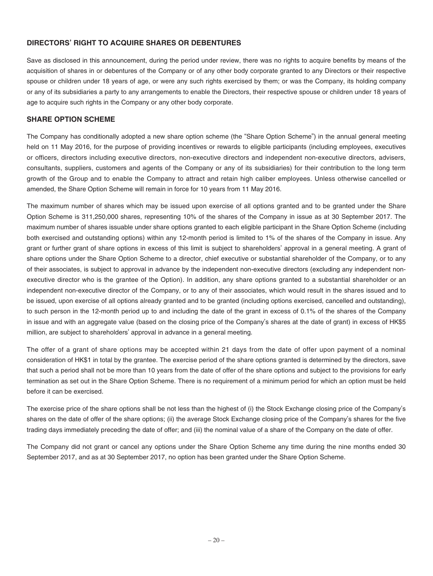### **DIRECTORS' RIGHT TO ACQUIRE SHARES OR DEBENTURES**

Save as disclosed in this announcement, during the period under review, there was no rights to acquire benefits by means of the acquisition of shares in or debentures of the Company or of any other body corporate granted to any Directors or their respective spouse or children under 18 years of age, or were any such rights exercised by them; or was the Company, its holding company or any of its subsidiaries a party to any arrangements to enable the Directors, their respective spouse or children under 18 years of age to acquire such rights in the Company or any other body corporate.

### **SHARE OPTION SCHEME**

The Company has conditionally adopted a new share option scheme (the "Share Option Scheme") in the annual general meeting held on 11 May 2016, for the purpose of providing incentives or rewards to eligible participants (including employees, executives or officers, directors including executive directors, non-executive directors and independent non-executive directors, advisers, consultants, suppliers, customers and agents of the Company or any of its subsidiaries) for their contribution to the long term growth of the Group and to enable the Company to attract and retain high caliber employees. Unless otherwise cancelled or amended, the Share Option Scheme will remain in force for 10 years from 11 May 2016.

The maximum number of shares which may be issued upon exercise of all options granted and to be granted under the Share Option Scheme is 311,250,000 shares, representing 10% of the shares of the Company in issue as at 30 September 2017. The maximum number of shares issuable under share options granted to each eligible participant in the Share Option Scheme (including both exercised and outstanding options) within any 12-month period is limited to 1% of the shares of the Company in issue. Any grant or further grant of share options in excess of this limit is subject to shareholders' approval in a general meeting. A grant of share options under the Share Option Scheme to a director, chief executive or substantial shareholder of the Company, or to any of their associates, is subject to approval in advance by the independent non-executive directors (excluding any independent nonexecutive director who is the grantee of the Option). In addition, any share options granted to a substantial shareholder or an independent non-executive director of the Company, or to any of their associates, which would result in the shares issued and to be issued, upon exercise of all options already granted and to be granted (including options exercised, cancelled and outstanding), to such person in the 12-month period up to and including the date of the grant in excess of 0.1% of the shares of the Company in issue and with an aggregate value (based on the closing price of the Company's shares at the date of grant) in excess of HK\$5 million, are subject to shareholders' approval in advance in a general meeting.

The offer of a grant of share options may be accepted within 21 days from the date of offer upon payment of a nominal consideration of HK\$1 in total by the grantee. The exercise period of the share options granted is determined by the directors, save that such a period shall not be more than 10 years from the date of offer of the share options and subject to the provisions for early termination as set out in the Share Option Scheme. There is no requirement of a minimum period for which an option must be held before it can be exercised.

The exercise price of the share options shall be not less than the highest of (i) the Stock Exchange closing price of the Company's shares on the date of offer of the share options; (ii) the average Stock Exchange closing price of the Company's shares for the five trading days immediately preceding the date of offer; and (iii) the nominal value of a share of the Company on the date of offer.

The Company did not grant or cancel any options under the Share Option Scheme any time during the nine months ended 30 September 2017, and as at 30 September 2017, no option has been granted under the Share Option Scheme.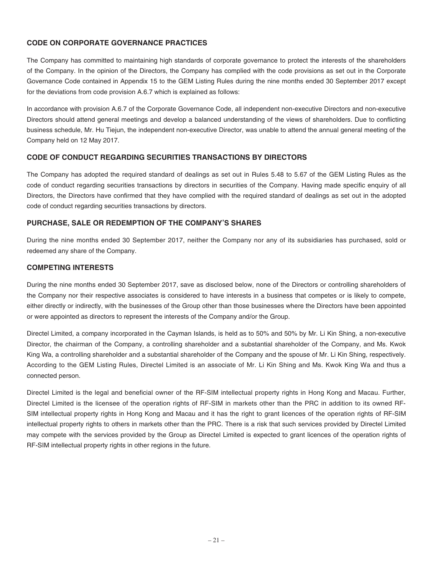### **CODE ON CORPORATE GOVERNANCE PRACTICES**

The Company has committed to maintaining high standards of corporate governance to protect the interests of the shareholders of the Company. In the opinion of the Directors, the Company has complied with the code provisions as set out in the Corporate Governance Code contained in Appendix 15 to the GEM Listing Rules during the nine months ended 30 September 2017 except for the deviations from code provision A.6.7 which is explained as follows:

In accordance with provision A.6.7 of the Corporate Governance Code, all independent non-executive Directors and non-executive Directors should attend general meetings and develop a balanced understanding of the views of shareholders. Due to conflicting business schedule, Mr. Hu Tiejun, the independent non-executive Director, was unable to attend the annual general meeting of the Company held on 12 May 2017.

### **CODE OF CONDUCT REGARDING SECURITIES TRANSACTIONS BY DIRECTORS**

The Company has adopted the required standard of dealings as set out in Rules 5.48 to 5.67 of the GEM Listing Rules as the code of conduct regarding securities transactions by directors in securities of the Company. Having made specific enquiry of all Directors, the Directors have confirmed that they have complied with the required standard of dealings as set out in the adopted code of conduct regarding securities transactions by directors.

### **PURCHASE, SALE OR REDEMPTION OF THE COMPANY'S SHARES**

During the nine months ended 30 September 2017, neither the Company nor any of its subsidiaries has purchased, sold or redeemed any share of the Company.

### **COMPETING INTERESTS**

During the nine months ended 30 September 2017, save as disclosed below, none of the Directors or controlling shareholders of the Company nor their respective associates is considered to have interests in a business that competes or is likely to compete, either directly or indirectly, with the businesses of the Group other than those businesses where the Directors have been appointed or were appointed as directors to represent the interests of the Company and/or the Group.

Directel Limited, a company incorporated in the Cayman Islands, is held as to 50% and 50% by Mr. Li Kin Shing, a non-executive Director, the chairman of the Company, a controlling shareholder and a substantial shareholder of the Company, and Ms. Kwok King Wa, a controlling shareholder and a substantial shareholder of the Company and the spouse of Mr. Li Kin Shing, respectively. According to the GEM Listing Rules, Directel Limited is an associate of Mr. Li Kin Shing and Ms. Kwok King Wa and thus a connected person.

Directel Limited is the legal and beneficial owner of the RF-SIM intellectual property rights in Hong Kong and Macau. Further, Directel Limited is the licensee of the operation rights of RF-SIM in markets other than the PRC in addition to its owned RF-SIM intellectual property rights in Hong Kong and Macau and it has the right to grant licences of the operation rights of RF-SIM intellectual property rights to others in markets other than the PRC. There is a risk that such services provided by Directel Limited may compete with the services provided by the Group as Directel Limited is expected to grant licences of the operation rights of RF-SIM intellectual property rights in other regions in the future.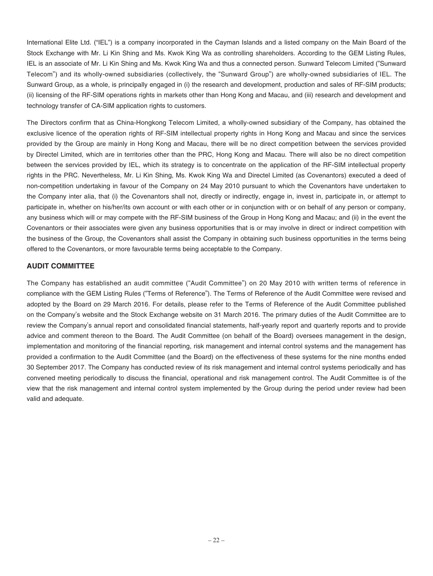International Elite Ltd. ("IEL") is a company incorporated in the Cayman Islands and a listed company on the Main Board of the Stock Exchange with Mr. Li Kin Shing and Ms. Kwok King Wa as controlling shareholders. According to the GEM Listing Rules, IEL is an associate of Mr. Li Kin Shing and Ms. Kwok King Wa and thus a connected person. Sunward Telecom Limited ("Sunward Telecom") and its wholly-owned subsidiaries (collectively, the "Sunward Group") are wholly-owned subsidiaries of IEL. The Sunward Group, as a whole, is principally engaged in (i) the research and development, production and sales of RF-SIM products; (ii) licensing of the RF-SIM operations rights in markets other than Hong Kong and Macau, and (iii) research and development and technology transfer of CA-SIM application rights to customers.

The Directors confirm that as China-Hongkong Telecom Limited, a wholly-owned subsidiary of the Company, has obtained the exclusive licence of the operation rights of RF-SIM intellectual property rights in Hong Kong and Macau and since the services provided by the Group are mainly in Hong Kong and Macau, there will be no direct competition between the services provided by Directel Limited, which are in territories other than the PRC, Hong Kong and Macau. There will also be no direct competition between the services provided by IEL, which its strategy is to concentrate on the application of the RF-SIM intellectual property rights in the PRC. Nevertheless, Mr. Li Kin Shing, Ms. Kwok King Wa and Directel Limited (as Covenantors) executed a deed of non-competition undertaking in favour of the Company on 24 May 2010 pursuant to which the Covenantors have undertaken to the Company inter alia, that (i) the Covenantors shall not, directly or indirectly, engage in, invest in, participate in, or attempt to participate in, whether on his/her/its own account or with each other or in conjunction with or on behalf of any person or company, any business which will or may compete with the RF-SIM business of the Group in Hong Kong and Macau; and (ii) in the event the Covenantors or their associates were given any business opportunities that is or may involve in direct or indirect competition with the business of the Group, the Covenantors shall assist the Company in obtaining such business opportunities in the terms being offered to the Covenantors, or more favourable terms being acceptable to the Company.

### **AUDIT COMMITTEE**

The Company has established an audit committee ("Audit Committee") on 20 May 2010 with written terms of reference in compliance with the GEM Listing Rules ("Terms of Reference"). The Terms of Reference of the Audit Committee were revised and adopted by the Board on 29 March 2016. For details, please refer to the Terms of Reference of the Audit Committee published on the Company's website and the Stock Exchange website on 31 March 2016. The primary duties of the Audit Committee are to review the Company's annual report and consolidated financial statements, half-yearly report and quarterly reports and to provide advice and comment thereon to the Board. The Audit Committee (on behalf of the Board) oversees management in the design, implementation and monitoring of the financial reporting, risk management and internal control systems and the management has provided a confirmation to the Audit Committee (and the Board) on the effectiveness of these systems for the nine months ended 30 September 2017. The Company has conducted review of its risk management and internal control systems periodically and has convened meeting periodically to discuss the financial, operational and risk management control. The Audit Committee is of the view that the risk management and internal control system implemented by the Group during the period under review had been valid and adequate.